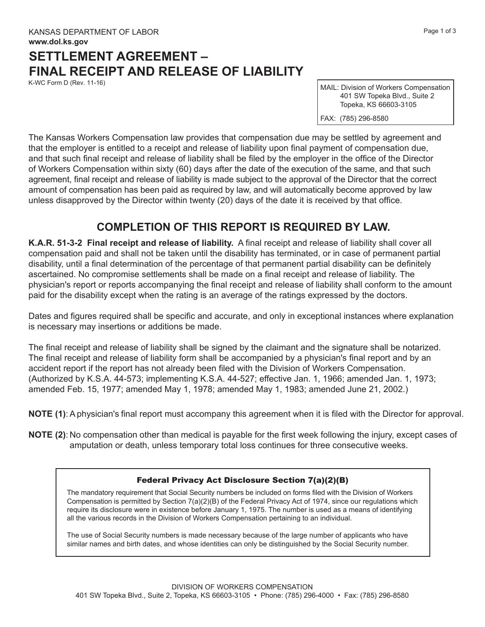## **SETTLEMENT AGREEMENT – FINAL RECEIPT AND RELEASE OF LIABILITY**

K-WC Form D (Rev. 11-16)

MAIL: Division of Workers Compensation 401 SW Topeka Blvd., Suite 2 Topeka, KS 66603-3105

FAX: (785) 296-8580

The Kansas Workers Compensation law provides that compensation due may be settled by agreement and that the employer is entitled to a receipt and release of liability upon final payment of compensation due, and that such final receipt and release of liability shall be filed by the employer in the office of the Director of Workers Compensation within sixty (60) days after the date of the execution of the same, and that such agreement, final receipt and release of liability is made subject to the approval of the Director that the correct amount of compensation has been paid as required by law, and will automatically become approved by law unless disapproved by the Director within twenty (20) days of the date it is received by that office.

## **COMPLETION OF THIS REPORT IS REQUIRED BY LAW.**

**K.A.R. 51-3-2 Final receipt and release of liability.** A final receipt and release of liability shall cover all compensation paid and shall not be taken until the disability has terminated, or in case of permanent partial disability, until a final determination of the percentage of that permanent partial disability can be definitely ascertained. No compromise settlements shall be made on a final receipt and release of liability. The physician's report or reports accompanying the final receipt and release of liability shall conform to the amount paid for the disability except when the rating is an average of the ratings expressed by the doctors.

Dates and figures required shall be specific and accurate, and only in exceptional instances where explanation is necessary may insertions or additions be made.

The final receipt and release of liability shall be signed by the claimant and the signature shall be notarized. The final receipt and release of liability form shall be accompanied by a physician's final report and by an accident report if the report has not already been filed with the Division of Workers Compensation. (Authorized by K.S.A. 44-573; implementing K.S.A. 44-527; effective Jan. 1, 1966; amended Jan. 1, 1973; amended Feb. 15, 1977; amended May 1, 1978; amended May 1, 1983; amended June 21, 2002.)

**NOTE (1)**: A physician's final report must accompany this agreement when it is filed with the Director for approval.

**NOTE (2)**: No compensation other than medical is payable for the first week following the injury, except cases of amputation or death, unless temporary total loss continues for three consecutive weeks.

## Federal Privacy Act Disclosure Section 7(a)(2)(B)

The mandatory requirement that Social Security numbers be included on forms filed with the Division of Workers Compensation is permitted by Section 7(a)(2)(B) of the Federal Privacy Act of 1974, since our regulations which require its disclosure were in existence before January 1, 1975. The number is used as a means of identifying all the various records in the Division of Workers Compensation pertaining to an individual.

The use of Social Security numbers is made necessary because of the large number of applicants who have similar names and birth dates, and whose identities can only be distinguished by the Social Security number.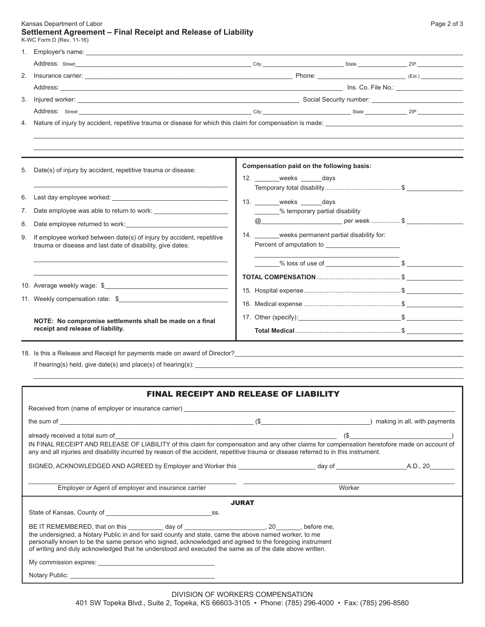Kansas Department of Labor **Page 2 of 3** National Active 2 of 3 National Active 2 of 3 National Active 2 of 3 National Active 2 of 3 National Active 2 of 3 National Active 2 of 3 National Active 2 of 3 National Active 2 of **Settlement Agreement – Final Receipt and Release of Liability**

| K-WC Form D (Rev. 11-16)                                                   |                                                    |  |  |
|----------------------------------------------------------------------------|----------------------------------------------------|--|--|
| $1_{\cdots}$                                                               |                                                    |  |  |
|                                                                            |                                                    |  |  |
| 2.                                                                         |                                                    |  |  |
|                                                                            |                                                    |  |  |
| 3.                                                                         |                                                    |  |  |
|                                                                            |                                                    |  |  |
| 4.                                                                         |                                                    |  |  |
|                                                                            |                                                    |  |  |
|                                                                            | Compensation paid on the following basis:          |  |  |
| Date(s) of injury by accident, repetitive trauma or disease:<br>5.         | 12. weeks days                                     |  |  |
|                                                                            |                                                    |  |  |
| 6.                                                                         | 13. weeks days                                     |  |  |
| 7.                                                                         | _______% temporary partial disability              |  |  |
| Date employee returned to work:<br>8.                                      |                                                    |  |  |
| If employee worked between date(s) of injury by accident, repetitive<br>9. | 14. _______weeks permanent partial disability for: |  |  |
| trauma or disease and last date of disability, give dates:                 |                                                    |  |  |
|                                                                            |                                                    |  |  |
|                                                                            |                                                    |  |  |
| 10. Average weekly wage: \$                                                |                                                    |  |  |
|                                                                            |                                                    |  |  |
|                                                                            |                                                    |  |  |
| NOTE: No compromise settlements shall be made on a final                   |                                                    |  |  |
| receipt and release of liability.                                          |                                                    |  |  |

18. Is this a Release and Receipt for payments made on award of Director?\_\_\_\_\_\_\_\_\_\_\_\_\_\_\_\_\_\_\_\_\_\_\_\_\_\_\_\_\_\_\_\_\_\_\_\_\_\_\_\_\_\_\_\_\_\_\_\_\_\_\_\_\_\_\_\_\_\_\_\_\_\_\_\_\_ If hearing(s) held, give date(s) and place(s) of hearing(s): \_\_\_\_\_\_\_\_\_\_\_\_\_\_\_\_\_\_\_\_\_\_\_\_\_\_\_\_\_\_\_\_\_\_\_\_\_\_\_\_\_\_\_\_\_\_\_\_\_\_\_\_\_\_\_\_\_\_\_\_\_\_\_\_\_\_\_\_\_\_\_\_\_\_\_\_

| <b>FINAL RECEIPT AND RELEASE OF LIABILITY</b> |
|-----------------------------------------------|
|-----------------------------------------------|

\_\_\_\_\_\_\_\_\_\_\_\_\_\_\_\_\_\_\_\_\_\_\_\_\_\_\_\_\_\_\_\_\_\_\_\_\_\_\_\_\_\_\_\_\_\_\_\_\_\_\_\_\_\_\_\_\_\_\_\_\_\_\_\_\_\_\_\_\_\_\_\_\_\_\_\_\_\_\_\_\_\_\_\_\_\_\_\_\_\_\_\_\_\_\_\_\_\_\_\_\_\_\_\_\_\_\_\_\_\_\_\_\_\_\_\_\_\_\_\_\_\_

| Received from (name of employer or insurance carrier) example and the state of the state of the state of the state of the state of the state of the state of the state of the state of the state of the state of the state of                                                                                                                                                                                                          |        |  |  |  |  |
|----------------------------------------------------------------------------------------------------------------------------------------------------------------------------------------------------------------------------------------------------------------------------------------------------------------------------------------------------------------------------------------------------------------------------------------|--------|--|--|--|--|
| the sum of entropy and the sum of entropy and the sum of entropy and the sum of entropy and the sum of entropy and the sum of entropy and the sum of entropy and the sum of entropy and the sum of the sum of the sum of the s                                                                                                                                                                                                         |        |  |  |  |  |
| IN FINAL RECEIPT AND RELEASE OF LIABILITY of this claim for compensation and any other claims for compensation heretofore made on account of<br>any and all injuries and disability incurred by reason of the accident, repetitive trauma or disease referred to in this instrument.                                                                                                                                                   |        |  |  |  |  |
| SIGNED, ACKNOWLEDGED AND AGREED by Employer and Worker this _____________________day of _____________________A.D., 20________                                                                                                                                                                                                                                                                                                          |        |  |  |  |  |
| Employer or Agent of employer and insurance carrier                                                                                                                                                                                                                                                                                                                                                                                    | Worker |  |  |  |  |
| <b>JURAT</b>                                                                                                                                                                                                                                                                                                                                                                                                                           |        |  |  |  |  |
| State of Kansas, County of State of Kansas, County of                                                                                                                                                                                                                                                                                                                                                                                  |        |  |  |  |  |
| BE IT REMEMBERED, that on this ____________ day of _____________________________, 20________, before me,<br>the undersigned, a Notary Public in and for said county and state, came the above named worker, to me<br>personally known to be the same person who signed, acknowledged and agreed to the foregoing instrument<br>of writing and duly acknowledged that he understood and executed the same as of the date above written. |        |  |  |  |  |
| My commission expires: New York Changes and Separate Changes and Separate Changes and Separate Changes and Separate Changes and Separate Changes and Separate Changes and Separate Changes and Separate Changes and Separate C                                                                                                                                                                                                         |        |  |  |  |  |
|                                                                                                                                                                                                                                                                                                                                                                                                                                        |        |  |  |  |  |